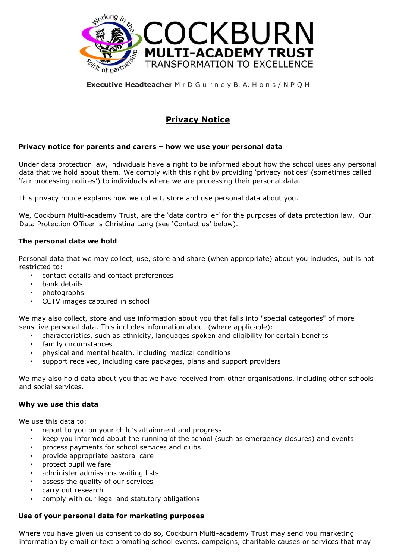

# **Executive Headteacher** M r D G u r n e y B. A. H o n s / N P Q H

# **Privacy Notice**

# **Privacy notice for parents and carers – how we use your personal data**

Under data protection law, individuals have a right to be informed about how the school uses any personal data that we hold about them. We comply with this right by providing 'privacy notices' (sometimes called 'fair processing notices') to individuals where we are processing their personal data.

This privacy notice explains how we collect, store and use personal data about you.

We, Cockburn Multi-academy Trust, are the 'data controller' for the purposes of data protection law. Our Data Protection Officer is Christina Lang (see 'Contact us' below).

#### **The personal data we hold**

Personal data that we may collect, use, store and share (when appropriate) about you includes, but is not restricted to:

- contact details and contact preferences
- bank details
- photographs
- CCTV images captured in school

We may also collect, store and use information about you that falls into "special categories" of more sensitive personal data. This includes information about (where applicable):

- characteristics, such as ethnicity, languages spoken and eligibility for certain benefits
- family circumstances
- physical and mental health, including medical conditions
- support received, including care packages, plans and support providers

We may also hold data about you that we have received from other organisations, including other schools and social services.

#### **Why we use this data**

We use this data to:

- report to you on your child's attainment and progress
- keep you informed about the running of the school (such as emergency closures) and events
- process payments for school services and clubs
- provide appropriate pastoral care
- protect pupil welfare
- administer admissions waiting lists
- assess the quality of our services
- carry out research
- comply with our legal and statutory obligations

#### **Use of your personal data for marketing purposes**

Where you have given us consent to do so, Cockburn Multi-academy Trust may send you marketing information by email or text promoting school events, campaigns, charitable causes or services that may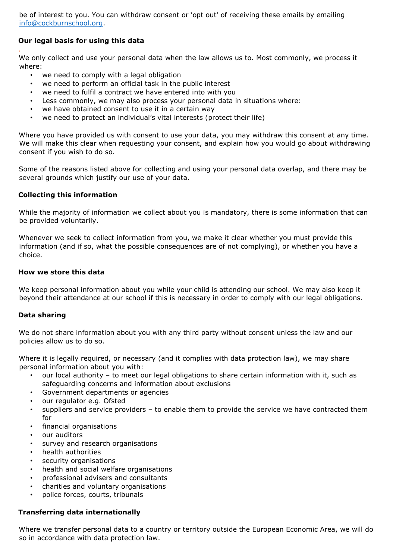be of interest to you. You can withdraw consent or 'opt out' of receiving these emails by emailing info@cockburnschool.org.

# **Our legal basis for using this data**

*.* 

We only collect and use your personal data when the law allows us to. Most commonly, we process it where:

- we need to comply with a legal obligation
- we need to perform an official task in the public interest
- we need to fulfil a contract we have entered into with you
- Less commonly, we may also process your personal data in situations where:
- we have obtained consent to use it in a certain way
- we need to protect an individual's vital interests (protect their life)

Where you have provided us with consent to use your data, you may withdraw this consent at any time. We will make this clear when requesting your consent, and explain how you would go about withdrawing consent if you wish to do so.

Some of the reasons listed above for collecting and using your personal data overlap, and there may be several grounds which justify our use of your data.

#### **Collecting this information**

While the majority of information we collect about you is mandatory, there is some information that can be provided voluntarily.

Whenever we seek to collect information from you, we make it clear whether you must provide this information (and if so, what the possible consequences are of not complying), or whether you have a choice.

#### **How we store this data**

We keep personal information about you while your child is attending our school. We may also keep it beyond their attendance at our school if this is necessary in order to comply with our legal obligations.

# **Data sharing**

We do not share information about you with any third party without consent unless the law and our policies allow us to do so.

Where it is legally required, or necessary (and it complies with data protection law), we may share personal information about you with:

- our local authority to meet our legal obligations to share certain information with it, such as safeguarding concerns and information about exclusions
- Government departments or agencies
- our regulator e.g. Ofsted
- suppliers and service providers to enable them to provide the service we have contracted them for
- financial organisations
- our auditors
- survey and research organisations
- health authorities
- security organisations
- health and social welfare organisations
- professional advisers and consultants
- charities and voluntary organisations
- police forces, courts, tribunals

# **Transferring data internationally**

Where we transfer personal data to a country or territory outside the European Economic Area, we will do so in accordance with data protection law.